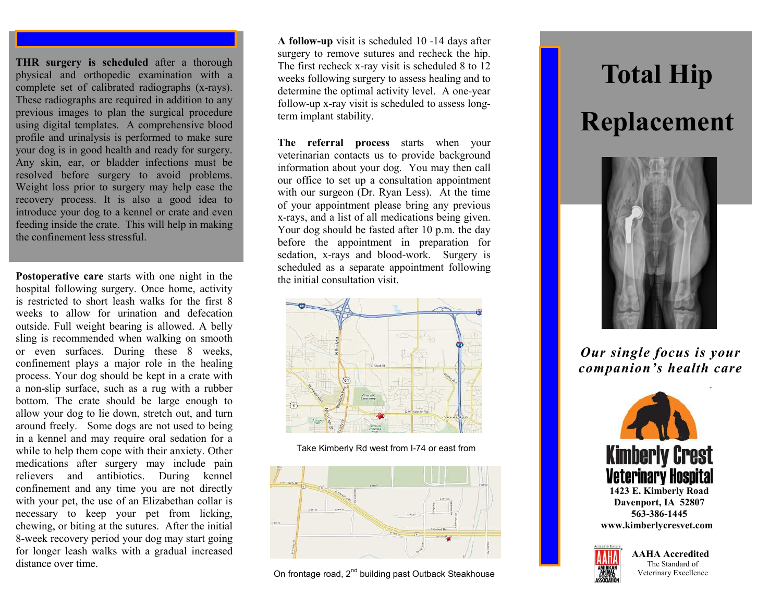**THR surgery is scheduled** after a thorough physical and orthopedic examination with a complete set of calibrated radiographs (x-rays). These radiographs are required in addition to any previous images to plan the surgical procedure using digital templates. A comprehensive blood profile and urinalysis is performed to make sure your dog is in good health and ready for surgery. Any skin, ear, or bladder infections must be resolved before surgery to avoid problems. Weight loss prior to surgery may help ease the recovery process. It is also a good idea to introduce your dog to a kennel or crate and even feeding inside the crate. This will help in making the confinement less stressful.

**Postoperative care** starts with one night in the hospital following surgery. Once home, activity is restricted to short leash walks for the first 8 weeks to allow for urination and defecation outside. Full weight bearing is allowed. A belly sling is recommended when walking on smooth or even surfaces. During these 8 weeks, confinement plays a major role in the healing process. Your dog should be kept in a crate with a non-slip surface, such as a rug with a rubber bottom. The crate should be large enough to allow your dog to lie down, stretch out, and turn around freely. Some dogs are not used to being in a kennel and may require oral sedation for a while to help them cope with their anxiety. Other medications after surgery may include pain relievers and antibiotics. During kennel confinement and any time you are not directly with your pet, the use of an Elizabethan collar is necessary to keep your pet from licking, chewing, or biting at the sutures. After the initial 8-week recovery period your dog may start going for longer leash walks with a gradual increased distance over time.

**A follow-up** visit is scheduled 10 -14 days after surgery to remove sutures and recheck the hip. The first recheck x-ray visit is scheduled 8 to 12 weeks following surgery to assess healing and to determine the optimal activity level. A one-year follow-up x-ray visit is scheduled to assess longterm implant stability.

**The referral process** starts when your veterinarian contacts us to provide background information about your dog. You may then call our office to set up a consultation appointment with our surgeon (Dr. Ryan Less). At the time of your appointment please bring any previous x-rays, and a list of all medications being given. Your dog should be fasted after 10 p.m. the day before the appointment in preparation for sedation, x-rays and blood-work. Surgery is scheduled as a separate appointment following the initial consultation visit.



Take Kimberly Rd west from I-74 or east from



On frontage road, 2<sup>nd</sup> building past Outback Steakhouse

## **Total Hip Replacement**



*Our single focus is your companion's health care*



**www.kimberlycresvet.com**